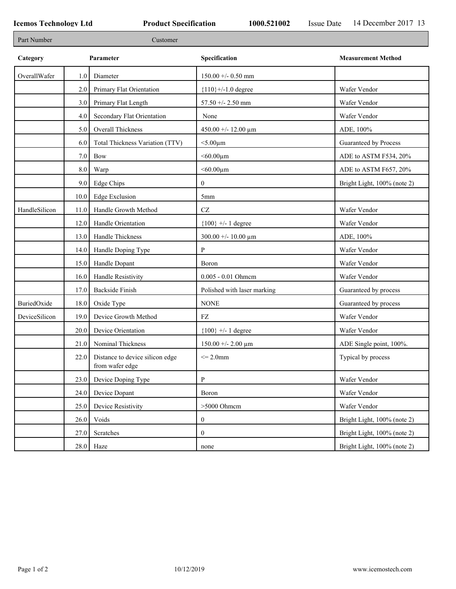| Part Number   |         | Customer                                           |                             |                             |
|---------------|---------|----------------------------------------------------|-----------------------------|-----------------------------|
| Category      |         | Parameter                                          | Specification               | <b>Measurement Method</b>   |
| OverallWafer  | 1.0     | Diameter                                           | $150.00 + - 0.50$ mm        |                             |
|               | 2.0     | Primary Flat Orientation                           | ${110}$ +/-1.0 degree       | Wafer Vendor                |
|               | 3.0     | Primary Flat Length                                | 57.50 +/- 2.50 mm           | Wafer Vendor                |
|               | 4.0     | Secondary Flat Orientation                         | None                        | Wafer Vendor                |
|               | 5.0     | Overall Thickness                                  | 450.00 +/- 12.00 $\mu$ m    | ADE, 100%                   |
|               | 6.0     | Total Thickness Variation (TTV)                    | $<$ 5.00 $\mu$ m            | Guaranteed by Process       |
|               | 7.0     | Bow                                                | $< 60.00 \mu m$             | ADE to ASTM F534, 20%       |
|               | $8.0\,$ | Warp                                               | $< 60.00 \mu m$             | ADE to ASTM F657, 20%       |
|               | 9.0     | <b>Edge Chips</b>                                  | $\boldsymbol{0}$            | Bright Light, 100% (note 2) |
|               | 10.0    | <b>Edge Exclusion</b>                              | 5mm                         |                             |
| HandleSilicon | 11.0    | Handle Growth Method                               | $\operatorname{CZ}$         | Wafer Vendor                |
|               | 12.0    | Handle Orientation                                 | ${100}$ +/- 1 degree        | Wafer Vendor                |
|               | 13.0    | Handle Thickness                                   | $300.00 + - 10.00 \mu m$    | ADE, 100%                   |
|               | 14.0    | Handle Doping Type                                 | P                           | Wafer Vendor                |
|               | 15.0    | Handle Dopant                                      | Boron                       | Wafer Vendor                |
|               | 16.0    | Handle Resistivity                                 | 0.005 - 0.01 Ohmem          | Wafer Vendor                |
|               | 17.0    | <b>Backside Finish</b>                             | Polished with laser marking | Guaranteed by process       |
| BuriedOxide   | 18.0    | Oxide Type                                         | <b>NONE</b>                 | Guaranteed by process       |
| DeviceSilicon | 19.0    | Device Growth Method                               | FZ                          | Wafer Vendor                |
|               | 20.0    | Device Orientation                                 | ${100}$ +/- 1 degree        | Wafer Vendor                |
|               | 21.0    | Nominal Thickness                                  | $150.00 + - 2.00 \mu m$     | ADE Single point, 100%.     |
|               | 22.0    | Distance to device silicon edge<br>from wafer edge | $\leq$ 2.0mm                | Typical by process          |
|               | 23.0    | Device Doping Type                                 | $\mathbf{P}$                | Wafer Vendor                |
|               | 24.0    | Device Dopant                                      | Boron                       | Wafer Vendor                |
|               | 25.0    | Device Resistivity                                 | $>5000$ Ohmcm               | Wafer Vendor                |
|               | 26.0    | Voids                                              | $\boldsymbol{0}$            | Bright Light, 100% (note 2) |
|               | 27.0    | Scratches                                          | $\boldsymbol{0}$            | Bright Light, 100% (note 2) |
|               |         | $28.0$ Haze                                        | none                        | Bright Light, 100% (note 2) |